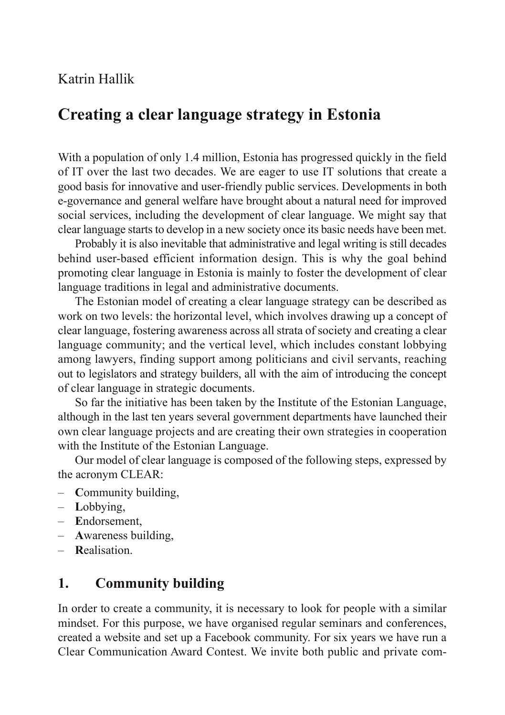### Katrin Hallik

# **Creating a clear language strategy in Estonia**

With a population of only 1.4 million, Estonia has progressed quickly in the field of IT over the last two decades. We are eager to use IT solutions that create a good basis for innovative and user-friendly public services. Developments in both e-governance and general welfare have brought about a natural need for improved social services, including the development of clear language. We might say that clear language starts to develop in a new society once its basic needs have been met.

Probably it is also inevitable that administrative and legal writing is still decades behind user-based efficient information design. This is why the goal behind promoting clear language in Estonia is mainly to foster the development of clear language traditions in legal and administrative documents.

The Estonian model of creating a clear language strategy can be described as work on two levels: the horizontal level, which involves drawing up a concept of clear language, fostering awareness across all strata of society and creating a clear language community; and the vertical level, which includes constant lobbying among lawyers, finding support among politicians and civil servants, reaching out to legislators and strategy builders, all with the aim of introducing the concept of clear language in strategic documents.

So far the initiative has been taken by the Institute of the Estonian Language, although in the last ten years several government departments have launched their own clear language projects and are creating their own strategies in cooperation with the Institute of the Estonian Language.

Our model of clear language is composed of the following steps, expressed by the acronym CLEAR:

- **C**ommunity building,
- **L**obbying,
- **E**ndorsement,
- **A**wareness building,
- **R**ealisation.

## **1. Community building**

In order to create a community, it is necessary to look for people with a similar mindset. For this purpose, we have organised regular seminars and conferences, created a website and set up a Facebook community. For six years we have run a Clear Communication Award Contest. We invite both public and private com-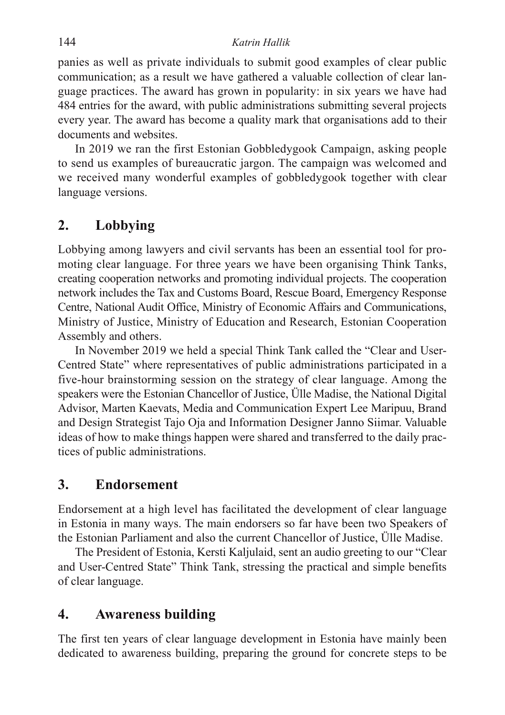#### 144 *Katrin Hallik*

panies as well as private individuals to submit good examples of clear public communication; as a result we have gathered a valuable collection of clear language practices. The award has grown in popularity: in six years we have had 484 entries for the award, with public administrations submitting several projects every year. The award has become a quality mark that organisations add to their documents and websites.

In 2019 we ran the first Estonian Gobbledygook Campaign, asking people to send us examples of bureaucratic jargon. The campaign was welcomed and we received many wonderful examples of gobbledygook together with clear language versions.

## **2. Lobbying**

Lobbying among lawyers and civil servants has been an essential tool for promoting clear language. For three years we have been organising Think Tanks, creating cooperation networks and promoting individual projects. The cooperation network includes the Tax and Customs Board, Rescue Board, Emergency Response Centre, National Audit Office, Ministry of Economic Affairs and Communications, Ministry of Justice, Ministry of Education and Research, Estonian Cooperation Assembly and others.

In November 2019 we held a special Think Tank called the "Clear and User-Centred State" where representatives of public administrations participated in a five-hour brainstorming session on the strategy of clear language. Among the speakers were the Estonian Chancellor of Justice, Ülle Madise, the National Digital Advisor, Marten Kaevats, Media and Communication Expert Lee Maripuu, Brand and Design Strategist Tajo Oja and Information Designer Janno Siimar. Valuable ideas of how to make things happen were shared and transferred to the daily practices of public administrations.

#### **3. Endorsement**

Endorsement at a high level has facilitated the development of clear language in Estonia in many ways. The main endorsers so far have been two Speakers of the Estonian Parliament and also the current Chancellor of Justice, Ülle Madise.

The President of Estonia, Kersti Kaljulaid, sent an audio greeting to our "Clear and User-Centred State" Think Tank, stressing the practical and simple benefits of clear language.

## **4. Awareness building**

The first ten years of clear language development in Estonia have mainly been dedicated to awareness building, preparing the ground for concrete steps to be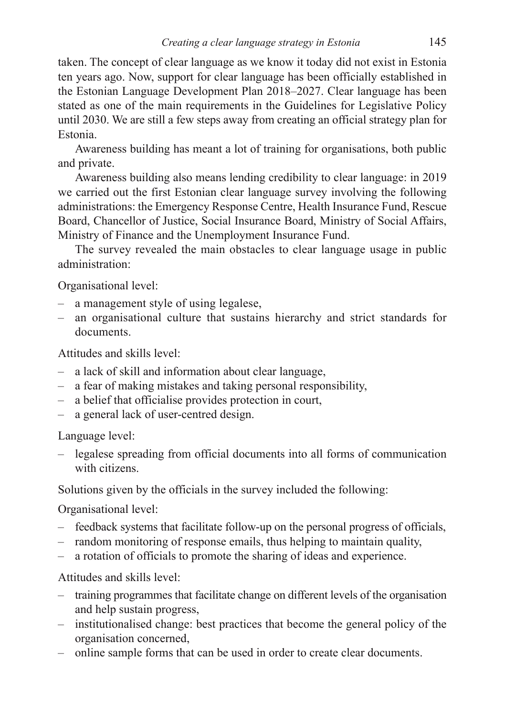taken. The concept of clear language as we know it today did not exist in Estonia ten years ago. Now, support for clear language has been officially established in the Estonian Language Development Plan 2018–2027. Clear language has been stated as one of the main requirements in the Guidelines for Legislative Policy until 2030. We are still a few steps away from creating an official strategy plan for Estonia.

Awareness building has meant a lot of training for organisations, both public and private.

Awareness building also means lending credibility to clear language: in 2019 we carried out the first Estonian clear language survey involving the following administrations: the Emergency Response Centre, Health Insurance Fund, Rescue Board, Chancellor of Justice, Social Insurance Board, Ministry of Social Affairs, Ministry of Finance and the Unemployment Insurance Fund.

The survey revealed the main obstacles to clear language usage in public administration:

Organisational level:

- a management style of using legalese,
- an organisational culture that sustains hierarchy and strict standards for documents.

Attitudes and skills level:

- a lack of skill and information about clear language,
- a fear of making mistakes and taking personal responsibility,
- a belief that officialise provides protection in court,
- a general lack of user-centred design.

Language level:

– legalese spreading from official documents into all forms of communication with citizens.

Solutions given by the officials in the survey included the following:

Organisational level:

- feedback systems that facilitate follow-up on the personal progress of officials,
- random monitoring of response emails, thus helping to maintain quality,
- a rotation of officials to promote the sharing of ideas and experience.

Attitudes and skills level:

- training programmes that facilitate change on different levels of the organisation and help sustain progress,
- institutionalised change: best practices that become the general policy of the organisation concerned,
- online sample forms that can be used in order to create clear documents.